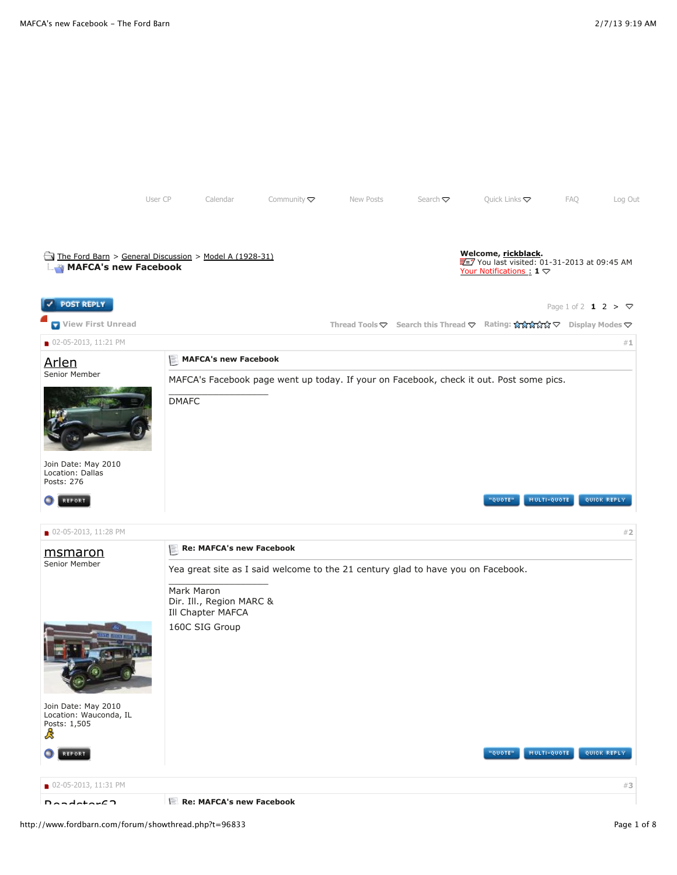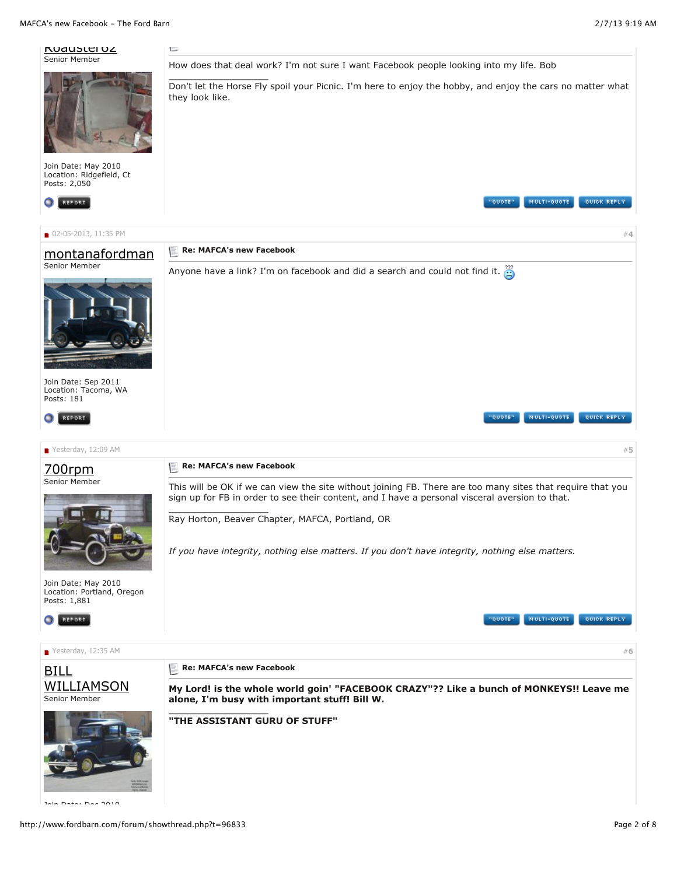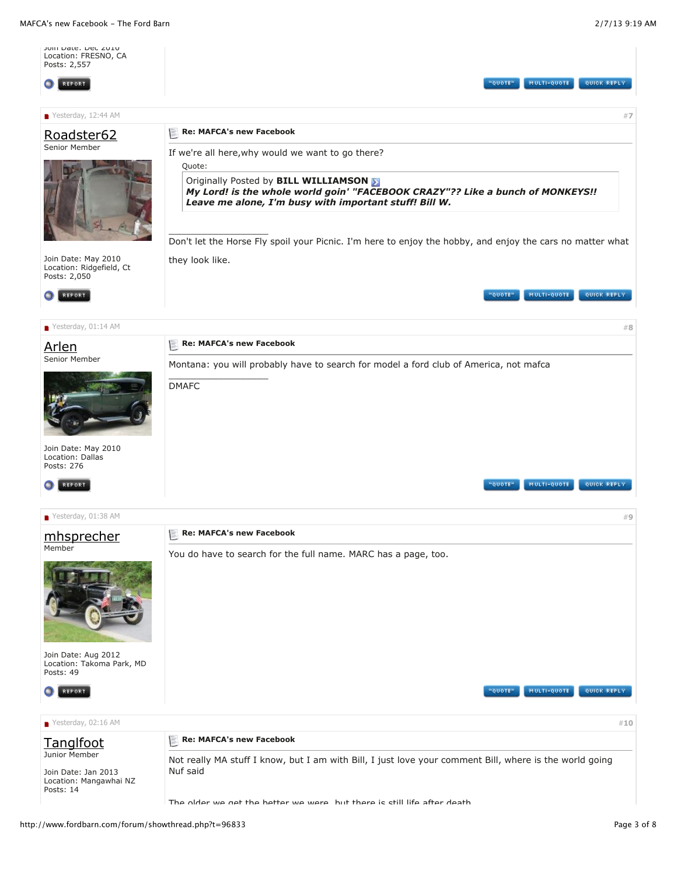MAFCA's new Facebook - The Ford Barn 2/7/13 9:19 AM

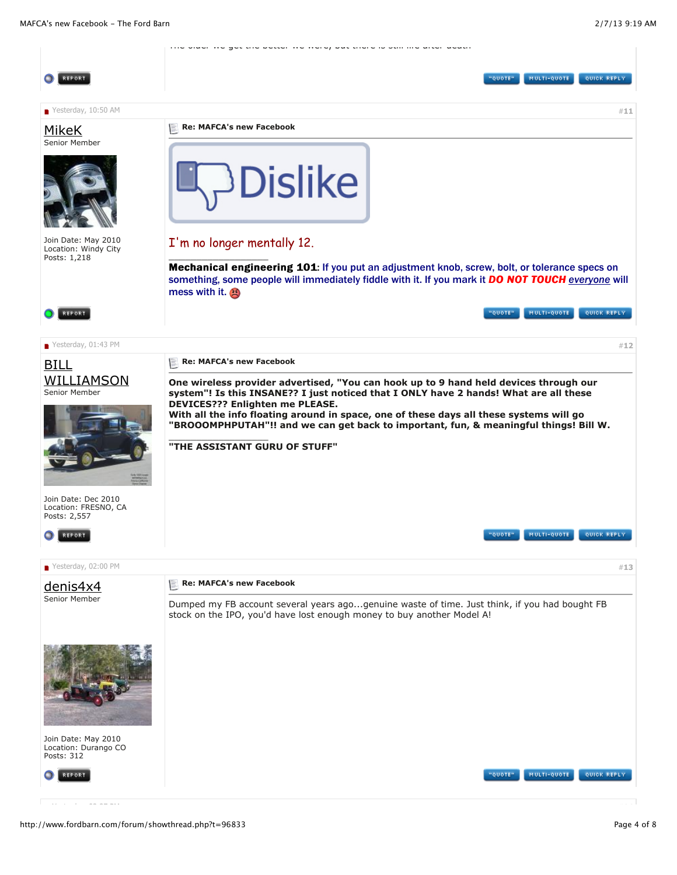The older we get the better we were, but there is still life after death REPORT **NETOUP** MULTI-QUOTE QUICK REPLY  $\blacksquare$  Yesterday, 10:50 AM  $\blacksquare$  **[11](http://www.fordbarn.com/forum/showpost.php?p=586454&postcount=11) Re: MAFCA's new Facebook** [MikeK](http://www.fordbarn.com/forum/member.php?u=17) Senior Member slike Join Date: May 2010 I'm no longer mentally 12. Location: Windy City  $\_$ Posts: 1,218 Mechanical engineering 101: If you put an adjustment knob, screw, bolt, or tolerance specs on something, some people will immediately fiddle with it. If you mark it **DO NOT TOUCH** everyone will mess with it. **A** MULTI-QUOTE QUICK REPLY REPORT QUOTE"  $\bullet$  Yesterday, 01:43 PM  $\ast$  **[12](http://www.fordbarn.com/forum/showpost.php?p=586557&postcount=12) Re: MAFCA's new Facebook** BILL **[WILLIAMSON](http://www.fordbarn.com/forum/member.php?u=10392) One wireless provider advertised, "You can hook up to 9 hand held devices through our** Senior Member **system"! Is this INSANE?? I just noticed that I ONLY have 2 hands! What are all these DEVICES??? Enlighten me PLEASE. With all the info floating around in space, one of these days all these systems will go "BROOOMPHPUTAH"!! and we can get back to important, fun, & meaningful things! Bill W.**  $\_$ **"THE ASSISTANT GURU OF STUFF"** Join Date: Dec 2010 Location: FRESNO, CA Posts: 2,557 MULTI-QUOTE QUICK REPLY "QUOTE" REPORT **a** Yesterday, 02:00 PM  $*13$  $*13$ **Re: MAFCA's new Facebook** [denis4x4](http://www.fordbarn.com/forum/member.php?u=1681) Senior Member Dumped my FB account several years ago...genuine waste of time. Just think, if you had bought FB stock on the IPO, you'd have lost enough money to buy another Model A! Join Date: May 2010 Location: Durango CO Posts: 312 **OUOTE**" MULTI-QUOTE **OUICK REPL**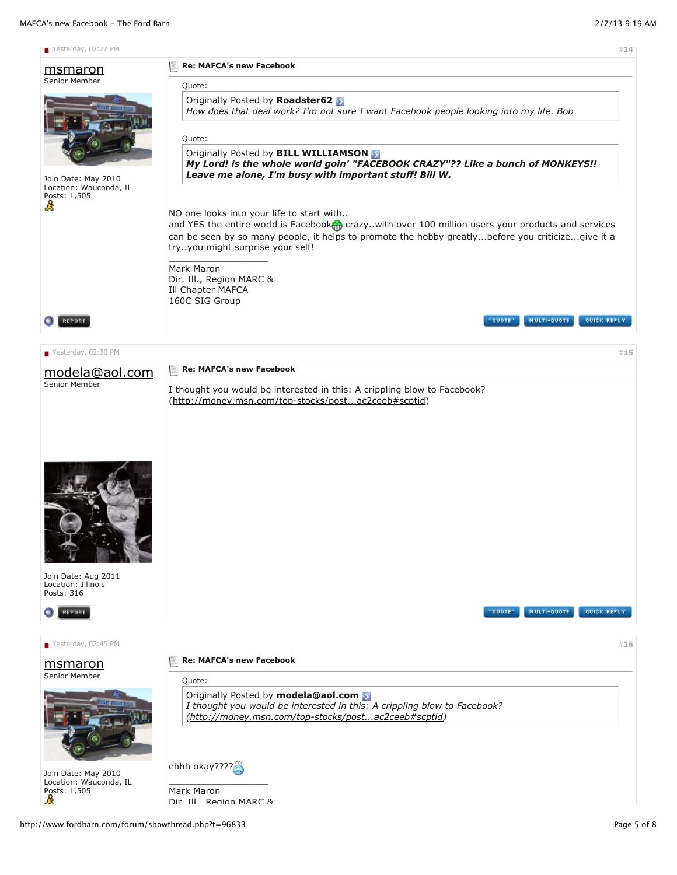## MAFCA's new Facebook - The Ford Barn 2/7/13 9:19 AM

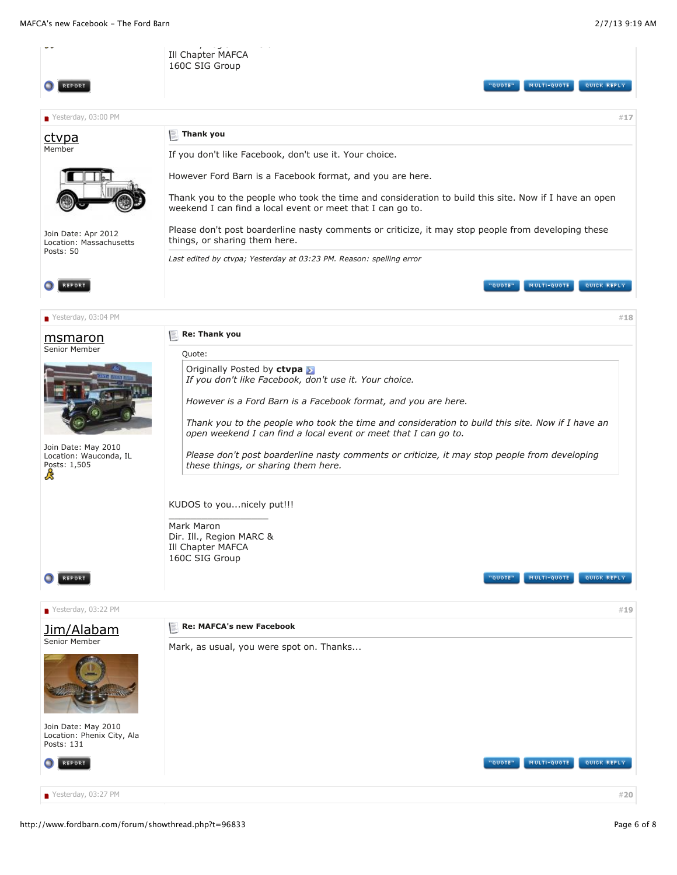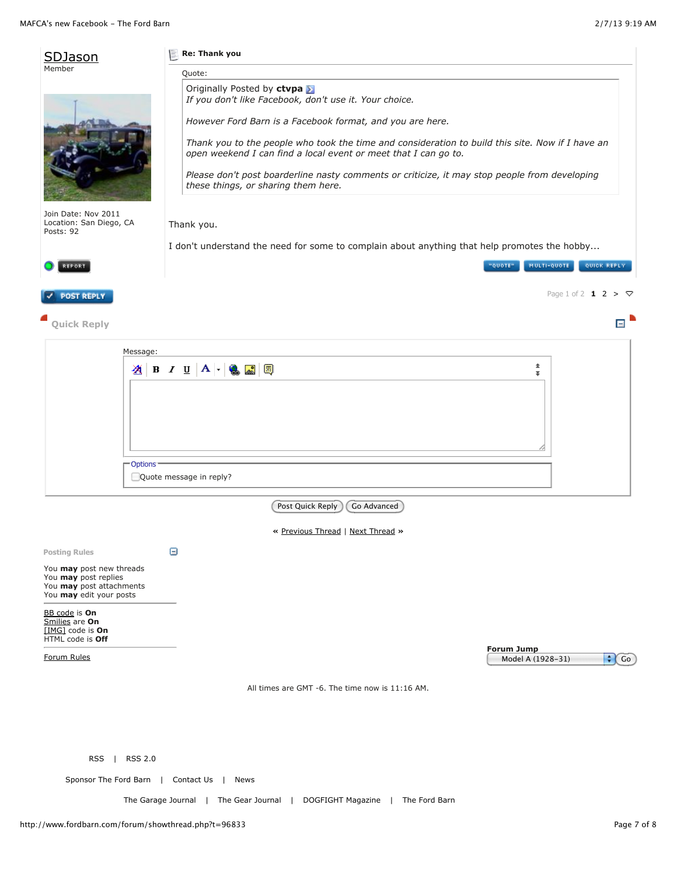| Member                                                                       |                      | Re: Thank you                                                                                                                                                                                           |                                                     |
|------------------------------------------------------------------------------|----------------------|---------------------------------------------------------------------------------------------------------------------------------------------------------------------------------------------------------|-----------------------------------------------------|
|                                                                              |                      | Quote:<br>Originally Posted by ctvpa<br>If you don't like Facebook, don't use it. Your choice.<br>However Ford Barn is a Facebook format, and you are here.                                             |                                                     |
|                                                                              |                      | Thank you to the people who took the time and consideration to build this site. Now if I have an                                                                                                        |                                                     |
|                                                                              |                      | open weekend I can find a local event or meet that I can go to.<br>Please don't post boarderline nasty comments or criticize, it may stop people from developing<br>these things, or sharing them here. |                                                     |
| Join Date: Nov 2011<br>Location: San Diego, CA<br>Posts: 92                  |                      | Thank you.                                                                                                                                                                                              |                                                     |
|                                                                              |                      | I don't understand the need for some to complain about anything that help promotes the hobby                                                                                                            |                                                     |
| REPORT                                                                       |                      |                                                                                                                                                                                                         | MULTI-QUOTE<br>QUICK REPLY<br>"QUOTE"               |
| <b>POST REPLY</b>                                                            |                      |                                                                                                                                                                                                         | Page 1 of 2 $1 2 > \nabla$                          |
| <b>Quick Reply</b>                                                           |                      |                                                                                                                                                                                                         | Ε                                                   |
|                                                                              | Message:             |                                                                                                                                                                                                         |                                                     |
|                                                                              |                      | <b>21 B J U A - 8 国 国</b>                                                                                                                                                                               | 士<br>Ŧ.                                             |
|                                                                              |                      |                                                                                                                                                                                                         |                                                     |
|                                                                              | Options <sup>®</sup> | Quote message in reply?                                                                                                                                                                                 |                                                     |
|                                                                              |                      |                                                                                                                                                                                                         |                                                     |
|                                                                              |                      | Post Quick Reply<br>Go Advanced                                                                                                                                                                         |                                                     |
|                                                                              |                      | « Previous Thread   Next Thread »                                                                                                                                                                       |                                                     |
| <b>Posting Rules</b>                                                         |                      | Θ                                                                                                                                                                                                       |                                                     |
| You may post new threads<br>You may post replies<br>You may post attachments |                      |                                                                                                                                                                                                         |                                                     |
| You may edit your posts                                                      |                      |                                                                                                                                                                                                         |                                                     |
| BB code is On<br>Smilies are On<br>[IMG] code is On<br>HTML code is Off      |                      |                                                                                                                                                                                                         |                                                     |
| Forum Rules                                                                  |                      |                                                                                                                                                                                                         | <b>Forum Jump</b><br>$\div$ Go<br>Model A (1928-31) |
|                                                                              |                      | All times are GMT -6. The time now is 11:16 AM.                                                                                                                                                         |                                                     |
|                                                                              |                      |                                                                                                                                                                                                         |                                                     |
| RSS                                                                          | <b>RSS 2.0</b>       |                                                                                                                                                                                                         |                                                     |
| Sponsor The Ford Barn                                                        |                      | Contact Us  <br>News                                                                                                                                                                                    |                                                     |
|                                                                              |                      | The Garage Journal   The Gear Journal  <br>DOGFIGHT Magazine  <br>The Ford Barn                                                                                                                         |                                                     |